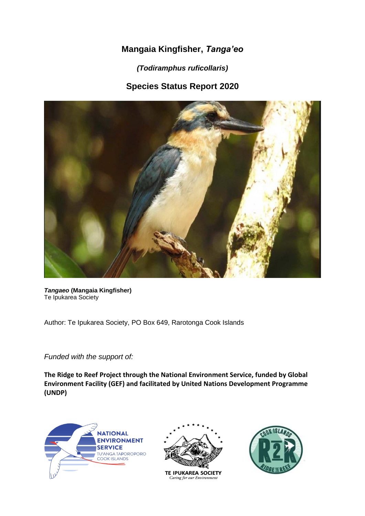# **Mangaia Kingfisher,** *Tanga'eo*

*(Todiramphus ruficollaris)*

# **Species Status Report 2020**



*Tangaeo* **(Mangaia Kingfisher)** Te Ipukarea Society

Author: Te Ipukarea Society, PO Box 649, Rarotonga Cook Islands

*Funded with the support of:*

**The Ridge to Reef Project through the National Environment Service, funded by Global Environment Facility (GEF) and facilitated by United Nations Development Programme (UNDP)**





**TE IPUKAREA SOCIETY** Caring for our Environment

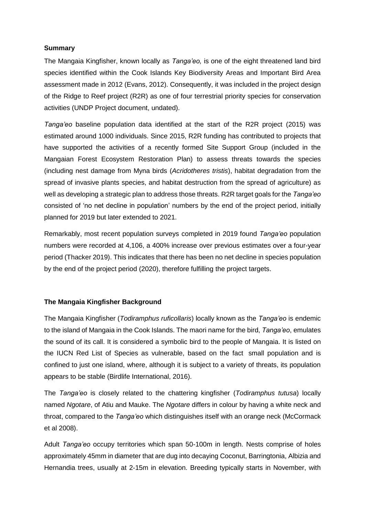### **Summary**

The Mangaia Kingfisher, known locally as *Tanga'eo,* is one of the eight threatened land bird species identified within the Cook Islands Key Biodiversity Areas and Important Bird Area assessment made in 2012 (Evans, 2012). Consequently, it was included in the project design of the Ridge to Reef project (R2R) as one of four terrestrial priority species for conservation activities (UNDP Project document, undated).

*Tanga'eo* baseline population data identified at the start of the R2R project (2015) was estimated around 1000 individuals. Since 2015, R2R funding has contributed to projects that have supported the activities of a recently formed Site Support Group (included in the Mangaian Forest Ecosystem Restoration Plan) to assess threats towards the species (including nest damage from Myna birds (*Acridotheres tristis*), habitat degradation from the spread of invasive plants species, and habitat destruction from the spread of agriculture) as well as developing a strategic plan to address those threats. R2R target goals for the *Tanga'eo* consisted of 'no net decline in population' numbers by the end of the project period, initially planned for 2019 but later extended to 2021.

Remarkably, most recent population surveys completed in 2019 found *Tanga'eo* population numbers were recorded at 4,106, a 400% increase over previous estimates over a four-year period (Thacker 2019). This indicates that there has been no net decline in species population by the end of the project period (2020), therefore fulfilling the project targets.

#### **The Mangaia Kingfisher Background**

The Mangaia Kingfisher (*Todiramphus ruficollaris*) locally known as the *Tanga'eo* is endemic to the island of Mangaia in the Cook Islands. The maori name for the bird, *Tanga'eo*, emulates the sound of its call. It is considered a symbolic bird to the people of Mangaia. It is listed on the IUCN Red List of Species as vulnerable, based on the fact small population and is confined to just one island, where, although it is subject to a variety of threats, its population appears to be stable (Birdlife International, 2016).

The *Tanga'eo* is closely related to the chattering kingfisher (*Todiramphus tutusa*) locally named *Ngotare*, of Atiu and Mauke. The *Ngotare* differs in colour by having a white neck and throat, compared to the *Tanga'eo* which distinguishes itself with an orange neck (McCormack et al 2008).

Adult *Tanga'eo* occupy territories which span 50-100m in length. Nests comprise of holes approximately 45mm in diameter that are dug into decaying Coconut, Barringtonia, Albizia and Hernandia trees, usually at 2-15m in elevation. Breeding typically starts in November, with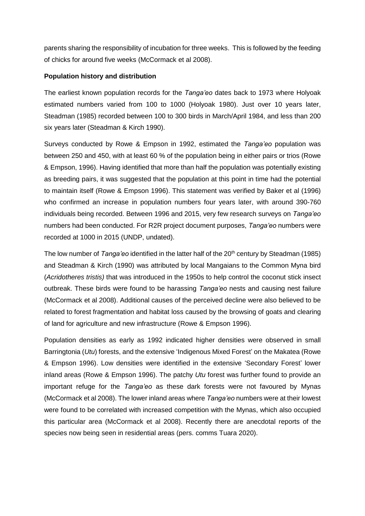parents sharing the responsibility of incubation for three weeks. This is followed by the feeding of chicks for around five weeks (McCormack et al 2008).

### **Population history and distribution**

The earliest known population records for the *Tanga'eo* dates back to 1973 where Holyoak estimated numbers varied from 100 to 1000 (Holyoak 1980). Just over 10 years later, Steadman (1985) recorded between 100 to 300 birds in March/April 1984, and less than 200 six years later (Steadman & Kirch 1990).

Surveys conducted by Rowe & Empson in 1992, estimated the *Tanga'eo* population was between 250 and 450, with at least 60 % of the population being in either pairs or trios (Rowe & Empson, 1996). Having identified that more than half the population was potentially existing as breeding pairs, it was suggested that the population at this point in time had the potential to maintain itself (Rowe & Empson 1996). This statement was verified by Baker et al (1996) who confirmed an increase in population numbers four years later, with around 390-760 individuals being recorded. Between 1996 and 2015, very few research surveys on *Tanga'eo* numbers had been conducted. For R2R project document purposes, *Tanga'eo* numbers were recorded at 1000 in 2015 (UNDP, undated).

The low number of *Tanga'eo* identified in the latter half of the 20<sup>th</sup> century by Steadman (1985) and Steadman & Kirch (1990) was attributed by local Mangaians to the Common Myna bird (*Acridotheres tristis)* that was introduced in the 1950s to help control the coconut stick insect outbreak. These birds were found to be harassing *Tanga'eo* nests and causing nest failure (McCormack et al 2008). Additional causes of the perceived decline were also believed to be related to forest fragmentation and habitat loss caused by the browsing of goats and clearing of land for agriculture and new infrastructure (Rowe & Empson 1996).

Population densities as early as 1992 indicated higher densities were observed in small Barringtonia (*Utu*) forests, and the extensive 'Indigenous Mixed Forest' on the Makatea (Rowe & Empson 1996). Low densities were identified in the extensive 'Secondary Forest' lower inland areas (Rowe & Empson 1996). The patchy *Utu* forest was further found to provide an important refuge for the *Tanga'eo* as these dark forests were not favoured by Mynas (McCormack et al 2008). The lower inland areas where *Tanga'eo* numbers were at their lowest were found to be correlated with increased competition with the Mynas, which also occupied this particular area (McCormack et al 2008). Recently there are anecdotal reports of the species now being seen in residential areas (pers. comms Tuara 2020).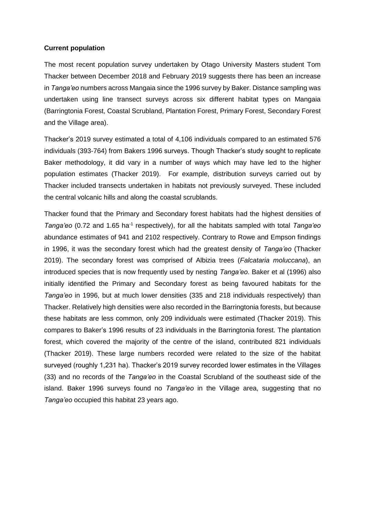#### **Current population**

The most recent population survey undertaken by Otago University Masters student Tom Thacker between December 2018 and February 2019 suggests there has been an increase in *Tanga'eo* numbers across Mangaia since the 1996 survey by Baker. Distance sampling was undertaken using line transect surveys across six different habitat types on Mangaia (Barringtonia Forest, Coastal Scrubland, Plantation Forest, Primary Forest, Secondary Forest and the Village area).

Thacker's 2019 survey estimated a total of 4,106 individuals compared to an estimated 576 individuals (393-764) from Bakers 1996 surveys. Though Thacker's study sought to replicate Baker methodology, it did vary in a number of ways which may have led to the higher population estimates (Thacker 2019). For example, distribution surveys carried out by Thacker included transects undertaken in habitats not previously surveyed. These included the central volcanic hills and along the coastal scrublands.

Thacker found that the Primary and Secondary forest habitats had the highest densities of Tanga'eo (0.72 and 1.65 ha<sup>-1</sup> respectively), for all the habitats sampled with total *Tanga'eo* abundance estimates of 941 and 2102 respectively. Contrary to Rowe and Empson findings in 1996, it was the secondary forest which had the greatest density of *Tanga'eo* (Thacker 2019). The secondary forest was comprised of Albizia trees (*Falcataria moluccana*), an introduced species that is now frequently used by nesting *Tanga'eo*. Baker et al (1996) also initially identified the Primary and Secondary forest as being favoured habitats for the *Tanga'eo* in 1996, but at much lower densities (335 and 218 individuals respectively) than Thacker. Relatively high densities were also recorded in the Barringtonia forests, but because these habitats are less common, only 209 individuals were estimated (Thacker 2019). This compares to Baker's 1996 results of 23 individuals in the Barringtonia forest. The plantation forest, which covered the majority of the centre of the island, contributed 821 individuals (Thacker 2019). These large numbers recorded were related to the size of the habitat surveyed (roughly 1,231 ha). Thacker's 2019 survey recorded lower estimates in the Villages (33) and no records of the *Tanga'eo* in the Coastal Scrubland of the southeast side of the island. Baker 1996 surveys found no *Tanga'eo* in the Village area, suggesting that no *Tanga'eo* occupied this habitat 23 years ago.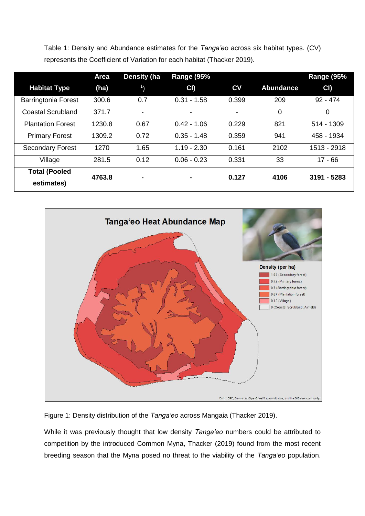Table 1: Density and Abundance estimates for the *Tanga'eo* across six habitat types. (CV) represents the Coefficient of Variation for each habitat (Thacker 2019).

| <b>Habitat Type</b>                | Area<br>(ha) | Density (ha<br>$\mathbf{1}$ | <b>Range (95%</b><br>CI | $c_{V}$ | <b>Abundance</b> | <b>Range (95%</b><br>CI |
|------------------------------------|--------------|-----------------------------|-------------------------|---------|------------------|-------------------------|
| <b>Barringtonia Forest</b>         | 300.6        | 0.7                         | $0.31 - 1.58$           | 0.399   | 209              | $92 - 474$              |
| Coastal Scrubland                  | 371.7        | $\overline{\phantom{a}}$    | ۰                       | ٠       | 0                | $\Omega$                |
| <b>Plantation Forest</b>           | 1230.8       | 0.67                        | $0.42 - 1.06$           | 0.229   | 821              | 514 - 1309              |
| <b>Primary Forest</b>              | 1309.2       | 0.72                        | $0.35 - 1.48$           | 0.359   | 941              | 458 - 1934              |
| <b>Secondary Forest</b>            | 1270         | 1.65                        | $1.19 - 2.30$           | 0.161   | 2102             | 1513 - 2918             |
| Village                            | 281.5        | 0.12                        | $0.06 - 0.23$           | 0.331   | 33               | $17 - 66$               |
| <b>Total (Pooled</b><br>estimates) | 4763.8       | $\blacksquare$              |                         | 0.127   | 4106             | 3191 - 5283             |



Figure 1: Density distribution of the *Tanga'eo* across Mangaia (Thacker 2019).

While it was previously thought that low density *Tanga'eo* numbers could be attributed to competition by the introduced Common Myna, Thacker (2019) found from the most recent breeding season that the Myna posed no threat to the viability of the *Tanga'eo* population.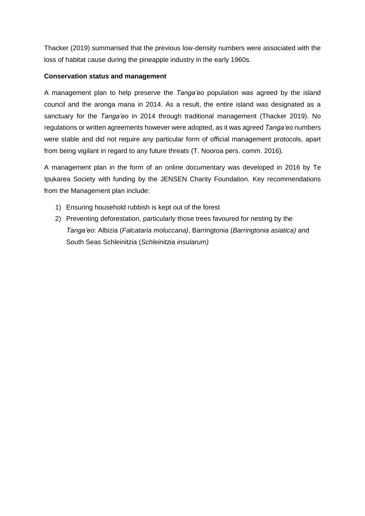Thacker (2019) summarised that the previous low-density numbers were associated with the loss of habitat cause during the pineapple industry in the early 1960s.

### **Conservation status and management**

A management plan to help preserve the *Tanga'eo* population was agreed by the island council and the aronga mana in 2014. As a result, the entire island was designated as a sanctuary for the *Tanga'eo* in 2014 through traditional management (Thacker 2019). No regulations or written agreements however were adopted, as it was agreed *Tanga'eo* numbers were stable and did not require any particular form of official management protocols, apart from being vigilant in regard to any future threats (T. Nooroa pers. comm. 2016).

A management plan in the form of an online documentary was developed in 2016 by Te Ipukarea Society with funding by the JENSEN Charity Foundation. Key recommendations from the Management plan include:

- 1) Ensuring household rubbish is kept out of the forest
- 2) Preventing deforestation, particularly those trees favoured for nesting by the *Tanga'eo*: Albizia (*Falcataria moluccana)*, Barringtonia (*Barringtonia asiatica)* and South Seas Schleinitzia (*Schleinitzia insularum)*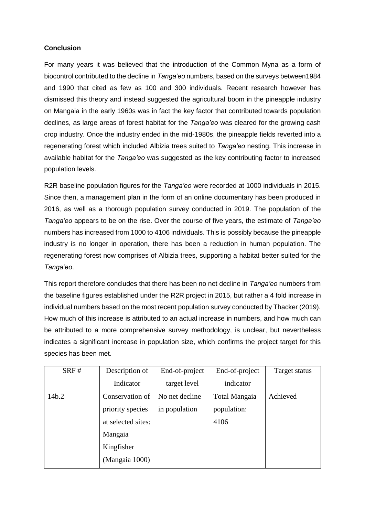## **Conclusion**

For many years it was believed that the introduction of the Common Myna as a form of biocontrol contributed to the decline in *Tanga'eo* numbers, based on the surveys between1984 and 1990 that cited as few as 100 and 300 individuals. Recent research however has dismissed this theory and instead suggested the agricultural boom in the pineapple industry on Mangaia in the early 1960s was in fact the key factor that contributed towards population declines, as large areas of forest habitat for the *Tanga'eo* was cleared for the growing cash crop industry. Once the industry ended in the mid-1980s, the pineapple fields reverted into a regenerating forest which included Albizia trees suited to *Tanga'eo* nesting. This increase in available habitat for the *Tanga'eo* was suggested as the key contributing factor to increased population levels.

R2R baseline population figures for the *Tanga'eo* were recorded at 1000 individuals in 2015. Since then, a management plan in the form of an online documentary has been produced in 2016, as well as a thorough population survey conducted in 2019. The population of the *Tanga'eo* appears to be on the rise. Over the course of five years, the estimate of *Tanga'eo* numbers has increased from 1000 to 4106 individuals. This is possibly because the pineapple industry is no longer in operation, there has been a reduction in human population. The regenerating forest now comprises of Albizia trees, supporting a habitat better suited for the *Tanga'eo*.

This report therefore concludes that there has been no net decline in *Tanga'eo* numbers from the baseline figures established under the R2R project in 2015, but rather a 4 fold increase in individual numbers based on the most recent population survey conducted by Thacker (2019). How much of this increase is attributed to an actual increase in numbers, and how much can be attributed to a more comprehensive survey methodology, is unclear, but nevertheless indicates a significant increase in population size, which confirms the project target for this species has been met.

| SRF#  | Description of     | End-of-project | End-of-project | Target status |
|-------|--------------------|----------------|----------------|---------------|
|       | Indicator          | target level   | indicator      |               |
| 14b.2 | Conservation of    | No net decline | Total Mangaia  | Achieved      |
|       | priority species   | in population  | population:    |               |
|       | at selected sites: |                | 4106           |               |
|       | Mangaia            |                |                |               |
|       | Kingfisher         |                |                |               |
|       | (Mangaia 1000)     |                |                |               |